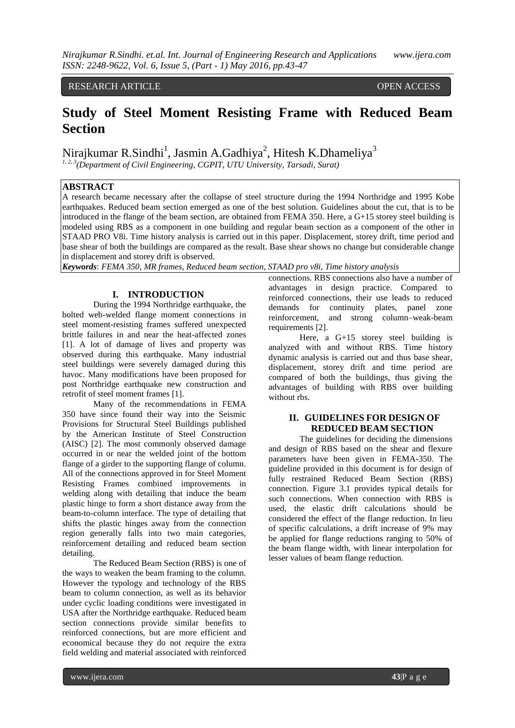#### RESEARCH ARTICLE OPEN ACCESS

# **Study of Steel Moment Resisting Frame with Reduced Beam Section**

Nirajkumar R.Sindhi<sup>1</sup>, Jasmin A.Gadhiya<sup>2</sup>, Hitesh K.Dhameliya<sup>3</sup>

*1, 2, 3(Department of Civil Engineering, CGPIT, UTU University, Tarsadi, Surat)*

## **ABSTRACT**

A research became necessary after the collapse of steel structure during the 1994 Northridge and 1995 Kobe earthquakes. Reduced beam section emerged as one of the best solution. Guidelines about the cut, that is to be introduced in the flange of the beam section, are obtained from FEMA 350. Here, a G+15 storey steel building is modeled using RBS as a component in one building and regular beam section as a component of the other in STAAD PRO V8i. Time history analysis is carried out in this paper. Displacement, storey drift, time period and base shear of both the buildings are compared as the result. Base shear shows no change but considerable change in displacement and storey drift is observed.

*Keywords*: *FEMA 350, MR frames, Reduced beam section, STAAD pro v8i, Time history analysis*

## **I. INTRODUCTION**

During the 1994 Northridge earthquake, the bolted web-welded flange moment connections in steel moment-resisting frames suffered unexpected brittle failures in and near the heat-affected zones [1]. A lot of damage of lives and property was observed during this earthquake. Many industrial steel buildings were severely damaged during this havoc. Many modifications have been proposed for post Northridge earthquake new construction and retrofit of steel moment frames [1].

Many of the recommendations in FEMA 350 have since found their way into the Seismic Provisions for Structural Steel Buildings published by the American Institute of Steel Construction (AISC) [2]. The most commonly observed damage occurred in or near the welded joint of the bottom flange of a girder to the supporting flange of column. All of the connections approved in for Steel Moment Resisting Frames combined improvements in welding along with detailing that induce the beam plastic hinge to form a short distance away from the beam-to-column interface. The type of detailing that shifts the plastic hinges away from the connection region generally falls into two main categories, reinforcement detailing and reduced beam section detailing.

The Reduced Beam Section (RBS) is one of the ways to weaken the beam framing to the column. However the typology and technology of the RBS beam to column connection, as well as its behavior under cyclic loading conditions were investigated in USA after the Northridge earthquake. Reduced beam section connections provide similar benefits to reinforced connections, but are more efficient and economical because they do not require the extra field welding and material associated with reinforced

connections. RBS connections also have a number of advantages in design practice. Compared to reinforced connections, their use leads to reduced demands for continuity plates, panel zone reinforcement, and strong column–weak-beam requirements [2].

Here, a G+15 storey steel building is analyzed with and without RBS. Time history dynamic analysis is carried out and thus base shear, displacement, storey drift and time period are compared of both the buildings, thus giving the advantages of building with RBS over building without rbs.

## **II. GUIDELINES FOR DESIGN OF REDUCED BEAM SECTION**

The guidelines for deciding the dimensions and design of RBS based on the shear and flexure parameters have been given in FEMA-350. The guideline provided in this document is for design of fully restrained Reduced Beam Section (RBS) connection. Figure 3.1 provides typical details for such connections. When connection with RBS is used, the elastic drift calculations should be considered the effect of the flange reduction. In lieu of specific calculations, a drift increase of 9% may be applied for flange reductions ranging to 50% of the beam flange width, with linear interpolation for lesser values of beam flange reduction.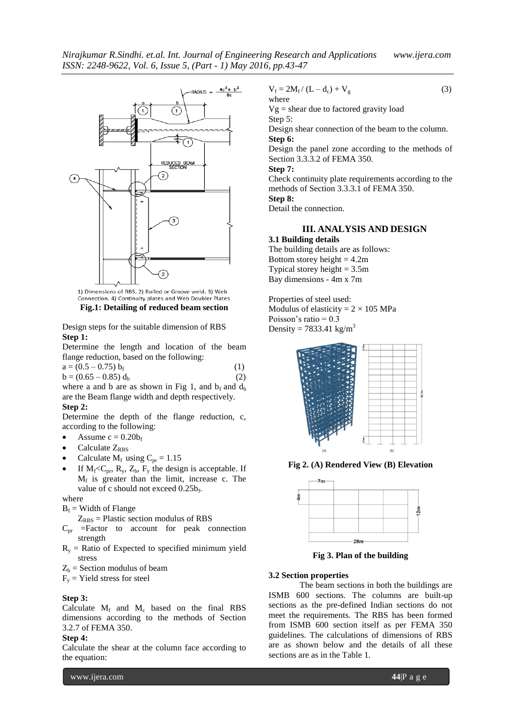

1) Dimensions of RBS. 2) Rolled or Groove weld. 3) Web Connection. 4) Continuity plates and Web Doubler Plates **Fig.1: Detailing of reduced beam section**

Design steps for the suitable dimension of RBS **Step 1:**

Determine the length and location of the beam flange reduction, based on the following:

$$
a = (0.5 - 0.75) bf b = (0.65 - 0.85) db (2)
$$

where a and b are as shown in Fig 1, and  $b_f$  and  $d_b$ are the Beam flange width and depth respectively.

### **Step 2:**

Determine the depth of the flange reduction, c, according to the following:

- Assume  $c = 0.20b_f$
- Calculate ZRBS
- Calculate  $M_f$  using  $C_{pr} = 1.15$
- If  $M_f < C_{pr}$ ,  $R_v$ ,  $Z_b$ ,  $F_v$  the design is acceptable. If  $M_f$  is greater than the limit, increase c. The value of c should not exceed 0.25bf.

where

 $B_f$  = Width of Flange

 $Z_{RBS}$  = Plastic section modulus of RBS

- $C_{pr}$  =Factor to account for peak connection strength
- $R<sub>v</sub>$  = Ratio of Expected to specified minimum yield stress

 $Z_b$  = Section modulus of beam

 $F<sub>y</sub>$  = Yield stress for steel

#### **Step 3:**

Calculate  $M_f$  and  $M_c$  based on the final RBS dimensions according to the methods of Section 3.2.7 of FEMA 350.

#### **Step 4:**

Calculate the shear at the column face according to the equation:

 $V_f = 2M_f / (L - d_c) + V_g$  (3) where

 $Vg$  = shear due to factored gravity load Step 5: Design shear connection of the beam to the column. **Step 6:**  Design the panel zone according to the methods of

Section 3.3.3.2 of FEMA 350.

**Step 7:**

Check continuity plate requirements according to the methods of Section 3.3.3.1 of FEMA 350. **Step 8:** 

Detail the connection.

## **III. ANALYSIS AND DESIGN**

**3.1 Building details** The building details are as follows: Bottom storey height  $= 4.2m$ Typical storey height  $= 3.5$ m Bay dimensions - 4m x 7m

Properties of steel used: Modulus of elasticity =  $2 \times 105$  MPa Poisson's ratio  $= 0.3$ Density =  $7833.41$  kg/m<sup>3</sup>



**Fig 2. (A) Rendered View (B) Elevation**



**Fig 3. Plan of the building**

## **3.2 Section properties**

 The beam sections in both the buildings are ISMB 600 sections. The columns are built-up sections as the pre-defined Indian sections do not meet the requirements. The RBS has been formed from ISMB 600 section itself as per FEMA 350 guidelines. The calculations of dimensions of RBS are as shown below and the details of all these sections are as in the Table 1.

www.ijera.com **44**|P a g e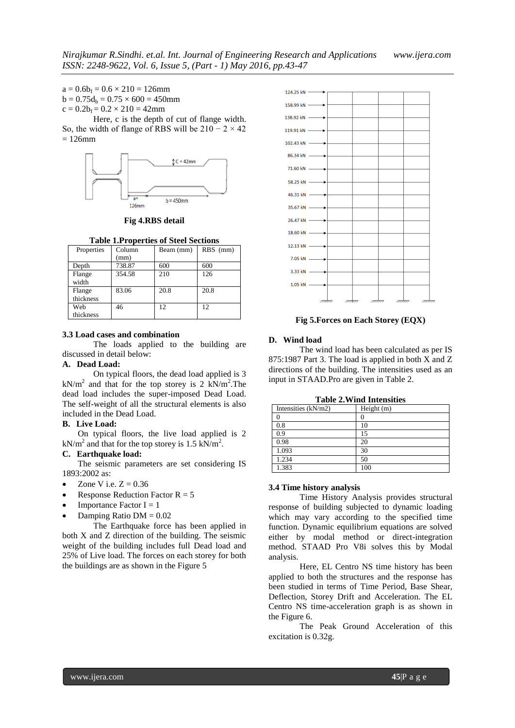$a = 0.6b_f = 0.6 \times 210 = 126$ mm  $b = 0.75d_b = 0.75 \times 600 = 450$ mm  $c = 0.2b_f = 0.2 \times 210 = 42$ mm

Here, c is the depth of cut of flange width. So, the width of flange of RBS will be  $210 - 2 \times 42$  $= 126$ mm



**Fig 4.RBS detail**

**Table 1.Properties of Steel Sections**

| Properties          | Column<br>(mm) | Beam (mm) | RBS (mm) |
|---------------------|----------------|-----------|----------|
| Depth               | 738.87         | 600       | 600      |
| Flange<br>width     | 354.58         | 210       | 126      |
| Flange<br>thickness | 83.06          | 20.8      | 20.8     |
| Web<br>thickness    | 46             | 12        | 12       |

#### **3.3 Load cases and combination**

The loads applied to the building are discussed in detail below:

### **A. Dead Load:**

On typical floors, the dead load applied is 3  $kN/m<sup>2</sup>$  and that for the top storey is 2 kN/m<sup>2</sup>. The dead load includes the super-imposed Dead Load. The self-weight of all the structural elements is also included in the Dead Load.

#### **B. Live Load:**

On typical floors, the live load applied is 2  $kN/m<sup>2</sup>$  and that for the top storey is 1.5 kN/m<sup>2</sup>.

#### **C. Earthquake load:**

The seismic parameters are set considering IS 1893:2002 as:

- Zone V i.e.  $Z = 0.36$
- Response Reduction Factor  $R = 5$
- Importance Factor  $I = 1$
- Damping Ratio  $DM = 0.02$

The Earthquake force has been applied in both X and Z direction of the building. The seismic weight of the building includes full Dead load and 25% of Live load. The forces on each storey for both the buildings are as shown in the Figure 5



**Fig 5.Forces on Each Storey (EQX)**

#### **D. Wind load**

The wind load has been calculated as per IS 875:1987 Part 3. The load is applied in both X and Z directions of the building. The intensities used as an input in STAAD.Pro are given in Table 2.

| Intensities $(kN/m2)$ | Height $(m)$ |
|-----------------------|--------------|
|                       |              |
| 0.8                   | 10           |
| 0.9                   | 15           |
| 0.98                  | 20           |
| 1.093                 | 30           |
| 1.234                 | 50           |
| 1.383                 | 100          |

**Table 2.Wind Intensities**

#### **3.4 Time history analysis**

Time History Analysis provides structural response of building subjected to dynamic loading which may vary according to the specified time function. Dynamic equilibrium equations are solved either by modal method or direct-integration method. STAAD Pro V8i solves this by Modal analysis.

Here, EL Centro NS time history has been applied to both the structures and the response has been studied in terms of Time Period, Base Shear, Deflection, Storey Drift and Acceleration. The EL Centro NS time-acceleration graph is as shown in the Figure 6.

The Peak Ground Acceleration of this excitation is 0.32g.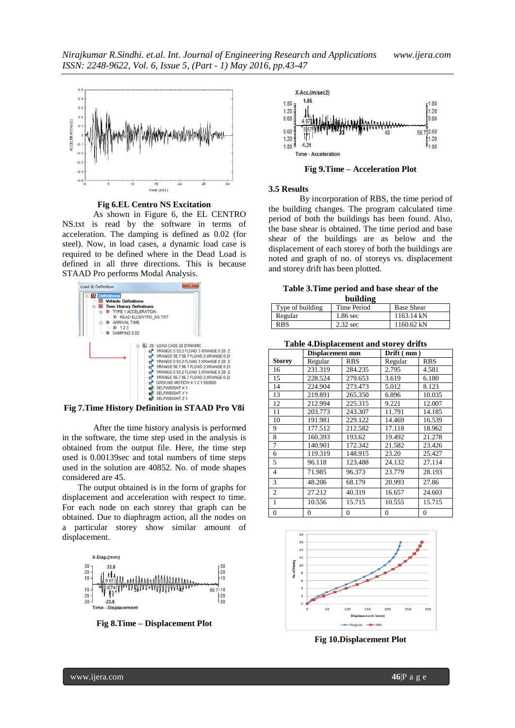

**Fig 6.EL Centro NS Excitation**

As shown in Figure 6, the EL CENTRO NS.txt is read by the software in terms of acceleration. The damping is defined as 0.02 (for steel). Now, in load cases, a dynamic load case is required to be defined where in the Dead Load is defined in all three directions. This is because STAAD Pro performs Modal Analysis.





After the time history analysis is performed in the software, the time step used in the analysis is obtained from the output file. Here, the time step used is 0.00139sec and total numbers of time steps used in the solution are 40852. No. of mode shapes considered are 45.

The output obtained is in the form of graphs for displacement and acceleration with respect to time. For each node on each storey that graph can be obtained. Due to diaphragm action, all the nodes on a particular storey show similar amount of displacement.



**Fig 8.Time – Displacement Plot**



**Fig 9.Time – Acceleration Plot**

#### **3.5 Results**

By incorporation of RBS, the time period of the building changes. The program calculated time period of both the buildings has been found. Also, the base shear is obtained. The time period and base shear of the buildings are as below and the displacement of each storey of both the buildings are noted and graph of no. of storeys vs. displacement and storey drift has been plotted.

**Table 3.Time period and base shear of the building**

| Type of building | Time Period | <b>Base Shear</b>    |  |  |
|------------------|-------------|----------------------|--|--|
| Regular          | 1.86 sec    | $1163.14 \text{ kN}$ |  |  |
| <b>RBS</b>       | $2.32$ sec  | $1160.62$ kN         |  |  |

**Table 4.Displacement and storey drifts**

|                | <b>Displacement mm</b> |            | Drift (mm)     |            |
|----------------|------------------------|------------|----------------|------------|
| Storey         | Regular                | <b>RBS</b> | Regular        | <b>RBS</b> |
| 16             | 231.319                | 284.235    | 2.795          | 4.581      |
| 15             | 228.524                | 279.653    | 3.619          | 6.180      |
| 14             | 224.904                | 273.473    | 5.012          | 8.123      |
| 13             | 219.891                | 265.350    | 6.896          | 10.035     |
| 12             | 212.994                | 225.315    | 9.221          | 12.007     |
| 11             | 203.773                | 243.307    | 11.791         | 14.185     |
| 10             | 191.981                | 229.122    | 14.469         | 16.539     |
| 9              | 177.512                | 212.582    | 17.118         | 18.962     |
| 8              | 160.393                | 193.62     | 19.492         | 21.278     |
| 7              | 140.901                | 172.342    | 21.582         | 23.426     |
| 6              | 119.319                | 148.915    | 23.20          | 25.427     |
| 5              | 96.118                 | 123.488    | 24.132         | 27.114     |
| $\overline{4}$ | 71.985                 | 96.373     | 23.779         | 28.193     |
| 3              | 48.206                 | 68.179     | 20.993         | 27.86      |
| $\overline{2}$ | 27.212                 | 40.319     | 16.657         | 24.603     |
| 1              | 10.556                 | 15.715     | 10.555         | 15.715     |
| 0              | 0                      | 0          | $\overline{0}$ | 0          |



**Fig 10.Displacement Plot**